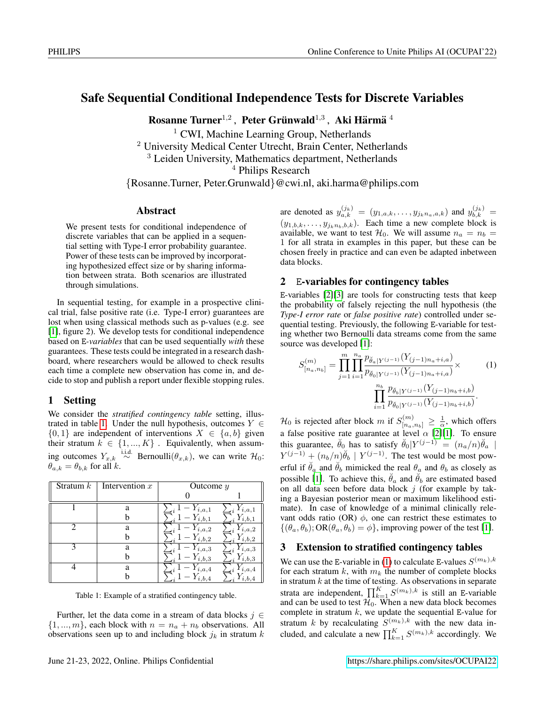## Safe Sequential Conditional Independence Tests for Discrete Variables

Rosanne Turner $^{1,2}$ , Peter Grünwald $^{1,3}$ , Aki Härmä $^{\,4}$ 

 $<sup>1</sup>$  CWI, Machine Learning Group, Netherlands</sup>

<sup>2</sup> University Medical Center Utrecht, Brain Center, Netherlands

<sup>3</sup> Leiden University, Mathematics department, Netherlands

<sup>4</sup> Philips Research

{Rosanne.Turner, Peter.Grunwald}@cwi.nl, aki.harma@philips.com

#### Abstract

We present tests for conditional independence of discrete variables that can be applied in a sequential setting with Type-I error probability guarantee. Power of these tests can be improved by incorporating hypothesized effect size or by sharing information between strata. Both scenarios are illustrated through simulations.

In sequential testing, for example in a prospective clinical trial, false positive rate (i.e. Type-I error) guarantees are lost when using classical methods such as p-values (e.g. see [\[1\]](#page-2-0), figure 2). We develop tests for conditional independence based on E*-variables* that can be used sequentially *with* these guarantees. These tests could be integrated in a research dashboard, where researchers would be allowed to check results each time a complete new observation has come in, and decide to stop and publish a report under flexible stopping rules.

## 1 Setting

We consider the *stratified contingency table* setting, illus-trated in table [1.](#page-0-0) Under the null hypothesis, outcomes  $Y \in$  $\{0, 1\}$  are independent of interventions  $X \in \{a, b\}$  given their stratum  $k \in \{1, ..., K\}$ . Equivalently, when assuming outcomes  $Y_{x,k} \stackrel{\text{i.i.d.}}{\sim}$  Bernoulli $(\theta_{x,k})$ , we can write  $\mathcal{H}_0$ :  $\theta_{a,k} = \theta_{b,k}$  for all k.

<span id="page-0-0"></span>

| Stratum $k$ | Intervention $x$ | Outcome $y$ |              |
|-------------|------------------|-------------|--------------|
|             |                  |             |              |
|             | a                | $Y_{i,a,1}$ | i, a, 1      |
|             |                  | i.b.1       | b, 1         |
| 2           | a                | i, a, 2     | i.a.2        |
|             |                  | i,b,2       | b.2          |
| 3           | a                | i, a, 3     | i.a.3        |
|             |                  | i,b,3       | i,b,3<br>ıñ. |
|             | a                | i, a, 4     | i.a.4        |
|             |                  | i.b.4       |              |

Table 1: Example of a stratified contingency table.

Further, let the data come in a stream of data blocks  $j \in$  $\{1, ..., m\}$ , each block with  $n = n_a + n_b$  observations. All observations seen up to and including block  $j_k$  in stratum  $k$ 

are denoted as  $y_{a,k}^{(j_k)} = (y_{1,a,k}, \ldots, y_{j_k n_a,a,k})$  and  $y_{b,k}^{(j_k)} =$  $(y_{1,b,k}, \ldots, y_{j_k n_b,b,k})$ . Each time a new complete block is available, we want to test  $\mathcal{H}_0$ . We will assume  $n_a = n_b =$ 1 for all strata in examples in this paper, but these can be chosen freely in practice and can even be adapted inbetween data blocks.

#### 2 E-variables for contingency tables

E-variables [\[2\]](#page-2-1)[\[3\]](#page-2-2) are tools for constructing tests that keep the probability of falsely rejecting the null hypothesis (the *Type-I error rate* or *false positive rate*) controlled under sequential testing. Previously, the following E-variable for testing whether two Bernoulli data streams come from the same source was developed [\[1\]](#page-2-0):

<span id="page-0-1"></span>
$$
S_{[n_a,n_b]}^{(m)} = \prod_{j=1}^m \prod_{i=1}^{n_a} \frac{p_{\check{\theta}_a|Y^{(j-1)}}(Y_{(j-1)n_a+i,a})}{p_{\check{\theta}_0|Y^{(j-1)}}(Y_{(j-1)n_a+i,a})} \times \prod_{i=1}^{n_b} \frac{p_{\check{\theta}_b|Y^{(j-1)}}(Y_{(j-1)n_b+i,b})}{p_{\check{\theta}_0|Y^{(j-1)}}(Y_{(j-1)n_b+i,b})}.
$$
 (1)

 $\mathcal{H}_0$  is rejected after block m if  $S_{[n_a,n_b]}^{(m)} \geq \frac{1}{\alpha}$ , which offers a false positive rate guarantee at level  $\alpha$  [\[2\]](#page-2-1)[\[1\]](#page-2-0). To ensure this guarantee,  $\breve{\theta}_0$  has to satisfy  $\breve{\theta}_0|Y^{(j-1)} = (n_a/n)\breve{\theta}_a$  $Y^{(j-1)} + (n_b/n)\check{\theta}_b \mid Y^{(j-1)}$ . The test would be most powerful if  $\theta_a$  and  $\theta_b$  mimicked the real  $\theta_a$  and  $\theta_b$  as closely as possible [\[1\]](#page-2-0). To achieve this,  $\ddot{\theta}_a$  and  $\ddot{\theta}_b$  are estimated based on all data seen before data block  $j$  (for example by taking a Bayesian posterior mean or maximum likelihood estimate). In case of knowledge of a minimal clinically relevant odds ratio (OR)  $\phi$ , one can restrict these estimates to  $\{(\theta_a, \theta_b); \text{OR}(\theta_a, \theta_b) = \phi\}$ , improving power of the test [\[1\]](#page-2-0).

### 3 Extension to stratified contingency tables

We can use the E-variable in [\(1\)](#page-0-1) to calculate E-values  $S^{(m_k),k}$ for each stratum  $k$ , with  $m_k$  the number of complete blocks in stratum  $k$  at the time of testing. As observations in separate strata are independent,  $\prod_{k=1}^{K} S^{(m_k),k}$  is still an E-variable and can be used to test  $\mathcal{H}_0$ . When a new data block becomes complete in stratum  $k$ , we update the sequential E-value for stratum k by recalculating  $S^{(m_k),k}$  with the new data included, and calculate a new  $\prod_{k=1}^{K} S^{(m_k),k}$  accordingly. We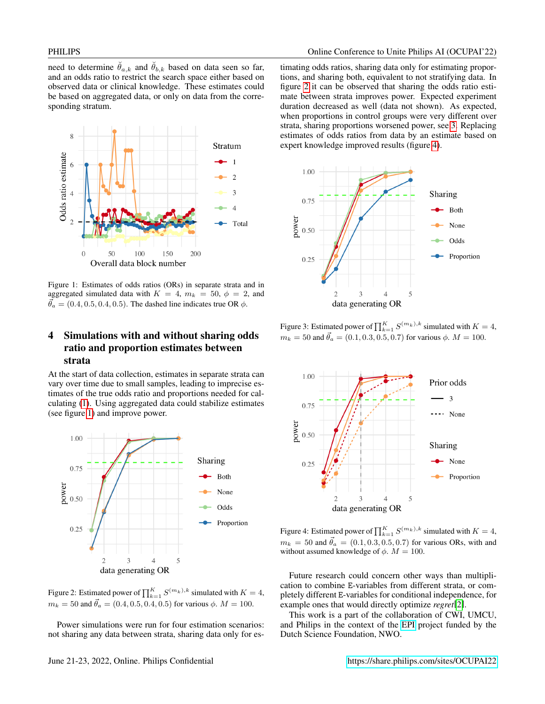need to determine  $\check{\theta}_{a,k}$  and  $\check{\theta}_{b,k}$  based on data seen so far, and an odds ratio to restrict the search space either based on observed data or clinical knowledge. These estimates could be based on aggregated data, or only on data from the corresponding stratum.

<span id="page-1-0"></span>

Figure 1: Estimates of odds ratios (ORs) in separate strata and in aggregated simulated data with  $K = 4$ ,  $m_k = 50$ ,  $\phi = 2$ , and  $\vec{\theta}_a = (0.4, 0.5, 0.4, 0.5)$ . The dashed line indicates true OR  $\phi$ .

# 4 Simulations with and without sharing odds ratio and proportion estimates between strata

At the start of data collection, estimates in separate strata can vary over time due to small samples, leading to imprecise estimates of the true odds ratio and proportions needed for calculating [\(1\)](#page-0-1). Using aggregated data could stabilize estimates (see figure [1\)](#page-1-0) and improve power.

<span id="page-1-1"></span>

Figure 2: Estimated power of  $\prod_{k=1}^{K} S^{(m_k),k}$  simulated with  $K = 4$ ,  $m_k = 50$  and  $\vec{\theta}_a = (0.4, 0.5, 0.4, 0.5)$  for various  $\phi$ .  $M = 100$ .

Power simulations were run for four estimation scenarios: not sharing any data between strata, sharing data only for estimating odds ratios, sharing data only for estimating proportions, and sharing both, equivalent to not stratifying data. In figure [2](#page-1-1) it can be observed that sharing the odds ratio estimate between strata improves power. Expected experiment duration decreased as well (data not shown). As expected, when proportions in control groups were very different over strata, sharing proportions worsened power, see [3.](#page-1-2) Replacing estimates of odds ratios from data by an estimate based on expert knowledge improved results (figure [4\)](#page-1-3).

<span id="page-1-2"></span>

Figure 3: Estimated power of  $\prod_{k=1}^{K} S^{(m_k),k}$  simulated with  $K = 4$ ,  $m_k = 50$  and  $\vec{\theta}_a = (0.1, 0.3, 0.5, 0.7)$  for various  $\phi$ .  $M = 100$ .

<span id="page-1-3"></span>

Figure 4: Estimated power of  $\prod_{k=1}^{K} S^{(m_k),k}$  simulated with  $K = 4$ ,  $m_k = 50$  and  $\vec{\theta}_a = (0.1, 0.3, 0.5, 0.7)$  for various ORs, with and without assumed knowledge of  $\phi$ .  $M = 100$ .

Future research could concern other ways than multiplication to combine E-variables from different strata, or completely different E-variables for conditional independence, for example ones that would directly optimize *regret*[\[2\]](#page-2-1).

This work is a part of the collaboration of CWI, UMCU, and Philips in the context of the [EPI](https://enablingpersonalizedinterventions.nl) project funded by the Dutch Science Foundation, NWO.